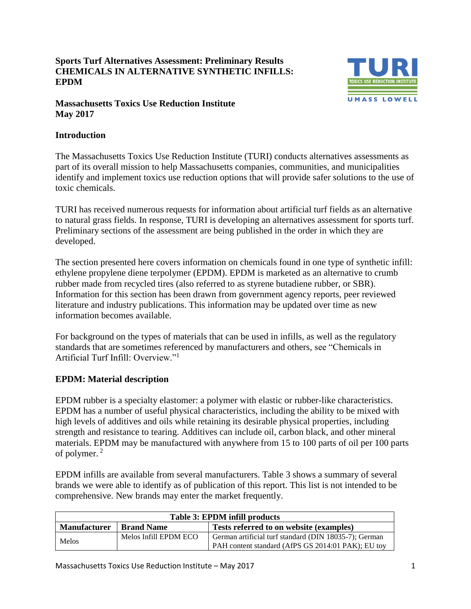**Sports Turf Alternatives Assessment: Preliminary Results CHEMICALS IN ALTERNATIVE SYNTHETIC INFILLS: EPDM**



#### **Massachusetts Toxics Use Reduction Institute May 2017**

# **Introduction**

The Massachusetts Toxics Use Reduction Institute (TURI) conducts alternatives assessments as part of its overall mission to help Massachusetts companies, communities, and municipalities identify and implement toxics use reduction options that will provide safer solutions to the use of toxic chemicals.

TURI has received numerous requests for information about artificial turf fields as an alternative to natural grass fields. In response, TURI is developing an alternatives assessment for sports turf. Preliminary sections of the assessment are being published in the order in which they are developed.

The section presented here covers information on chemicals found in one type of synthetic infill: ethylene propylene diene terpolymer (EPDM). EPDM is marketed as an alternative to crumb rubber made from recycled tires (also referred to as styrene butadiene rubber, or SBR). Information for this section has been drawn from government agency reports, peer reviewed literature and industry publications. This information may be updated over time as new information becomes available.

For background on the types of materials that can be used in infills, as well as the regulatory standards that are sometimes referenced by manufacturers and others, see "Chemicals in Artificial Turf Infill: Overview<sup>"1</sup>

# **EPDM: Material description**

EPDM rubber is a specialty elastomer: a polymer with elastic or rubber-like characteristics. EPDM has a number of useful physical characteristics, including the ability to be mixed with high levels of additives and oils while retaining its desirable physical properties, including strength and resistance to tearing. Additives can include oil, carbon black, and other mineral materials. EPDM may be manufactured with anywhere from 15 to 100 parts of oil per 100 parts of polymer. <sup>2</sup>

EPDM infills are available from several manufacturers. Table 3 shows a summary of several brands we were able to identify as of publication of this report. This list is not intended to be comprehensive. New brands may enter the market frequently.

| <b>Table 3: EPDM infill products</b> |                       |                                                                                                             |  |  |
|--------------------------------------|-----------------------|-------------------------------------------------------------------------------------------------------------|--|--|
| <b>Manufacturer</b>                  | <b>Brand Name</b>     | Tests referred to on website (examples)                                                                     |  |  |
| Melos                                | Melos Infill EPDM ECO | German artificial turf standard (DIN 18035-7); German<br>PAH content standard (AfPS GS 2014:01 PAK); EU toy |  |  |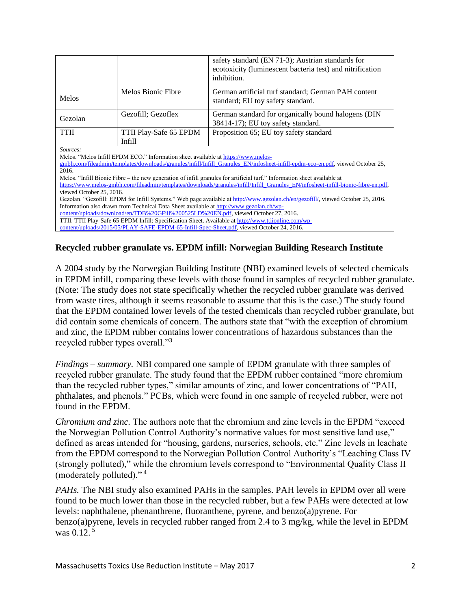|                                                                                                                                                              |                                                                                         | safety standard (EN 71-3); Austrian standards for<br>ecotoxicity (luminescent bacteria test) and nitrification<br>inhibition.  |  |  |  |
|--------------------------------------------------------------------------------------------------------------------------------------------------------------|-----------------------------------------------------------------------------------------|--------------------------------------------------------------------------------------------------------------------------------|--|--|--|
| <b>Melos</b>                                                                                                                                                 | Melos Bionic Fibre                                                                      | German artificial turf standard; German PAH content<br>standard; EU toy safety standard.                                       |  |  |  |
| Gezolan                                                                                                                                                      | Gezofill; Gezoflex                                                                      | German standard for organically bound halogens (DIN<br>38414-17); EU toy safety standard.                                      |  |  |  |
| <b>TTII</b>                                                                                                                                                  | TTII Play-Safe 65 EPDM                                                                  | Proposition 65; EU toy safety standard                                                                                         |  |  |  |
|                                                                                                                                                              | Infill                                                                                  |                                                                                                                                |  |  |  |
| Sources:<br>2016.                                                                                                                                            | Melos. "Melos Infill EPDM ECO." Information sheet available at https://www.melos-       | gmbh.com/fileadmin/templates/downloads/granules/infill/Infill_Granules_EN/infosheet-infill-epdm-eco-en.pdf, viewed October 25, |  |  |  |
| Melos. "Infill Bionic Fibre – the new generation of infill granules for artificial turf." Information sheet available at                                     |                                                                                         |                                                                                                                                |  |  |  |
| https://www.melos-gmbh.com/fileadmin/templates/downloads/granules/infill/Infill_Granules_EN/infosheet-infill-bionic-fibre-en.pdf,                            |                                                                                         |                                                                                                                                |  |  |  |
| viewed October 25, 2016.<br>Gezolan. "Gezofill: EPDM for Infill Systems." Web page available at http://www.gezolan.ch/en/gezofill/, viewed October 25, 2016. |                                                                                         |                                                                                                                                |  |  |  |
|                                                                                                                                                              | Information also drawn from Technical Data Sheet available at http://www.gezolan.ch/wp- |                                                                                                                                |  |  |  |
|                                                                                                                                                              | content/uploads/download/en/TDB%20GFill%200525LD%20EN.pdf, viewed October 27, 2016.     |                                                                                                                                |  |  |  |
|                                                                                                                                                              |                                                                                         | TTII. TTII Play-Safe 65 EPDM Infill: Specification Sheet. Available at http://www.ttiionline.com/wp-                           |  |  |  |
|                                                                                                                                                              |                                                                                         | content/uploads/2015/05/PLAY-SAFE-EPDM-65-Infill-Spec-Sheet.pdf, viewed October 24, 2016.                                      |  |  |  |

# **Recycled rubber granulate vs. EPDM infill: Norwegian Building Research Institute**

A 2004 study by the Norwegian Building Institute (NBI) examined levels of selected chemicals in EPDM infill, comparing these levels with those found in samples of recycled rubber granulate. (Note: The study does not state specifically whether the recycled rubber granulate was derived from waste tires, although it seems reasonable to assume that this is the case.) The study found that the EPDM contained lower levels of the tested chemicals than recycled rubber granulate, but did contain some chemicals of concern. The authors state that "with the exception of chromium and zinc, the EPDM rubber contains lower concentrations of hazardous substances than the recycled rubber types overall."<sup>3</sup>

*Findings – summary.* NBI compared one sample of EPDM granulate with three samples of recycled rubber granulate. The study found that the EPDM rubber contained "more chromium than the recycled rubber types," similar amounts of zinc, and lower concentrations of "PAH, phthalates, and phenols." PCBs, which were found in one sample of recycled rubber, were not found in the EPDM.

*Chromium and zinc.* The authors note that the chromium and zinc levels in the EPDM "exceed the Norwegian Pollution Control Authority's normative values for most sensitive land use," defined as areas intended for "housing, gardens, nurseries, schools, etc." Zinc levels in leachate from the EPDM correspond to the Norwegian Pollution Control Authority's "Leaching Class IV (strongly polluted)," while the chromium levels correspond to "Environmental Quality Class II (moderately polluted)." <sup>4</sup>

*PAHs*. The NBI study also examined PAHs in the samples. PAH levels in EPDM over all were found to be much lower than those in the recycled rubber, but a few PAHs were detected at low levels: naphthalene, phenanthrene, fluoranthene, pyrene, and benzo(a)pyrene. For benzo(a)pyrene, levels in recycled rubber ranged from 2.4 to 3 mg/kg, while the level in EPDM was 0.12.<sup>5</sup>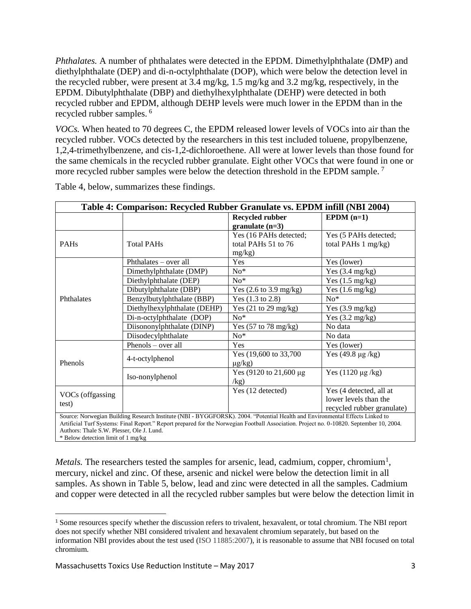*Phthalates.* A number of phthalates were detected in the EPDM. Dimethylphthalate (DMP) and diethylphthalate (DEP) and di-n-octylphthalate (DOP), which were below the detection level in the recycled rubber, were present at 3.4 mg/kg, 1.5 mg/kg and 3.2 mg/kg, respectively, in the EPDM. Dibutylphthalate (DBP) and diethylhexylphthalate (DEHP) were detected in both recycled rubber and EPDM, although DEHP levels were much lower in the EPDM than in the recycled rubber samples. <sup>6</sup>

*VOCs.* When heated to 70 degrees C, the EPDM released lower levels of VOCs into air than the recycled rubber. VOCs detected by the researchers in this test included toluene, propylbenzene, 1,2,4-trimethylbenzene, and cis-1,2-dichloroethene. All were at lower levels than those found for the same chemicals in the recycled rubber granulate. Eight other VOCs that were found in one or more recycled rubber samples were below the detection threshold in the EPDM sample.<sup>7</sup>

| Table 4: Comparison: Recycled Rubber Granulate vs. EPDM infill (NBI 2004) |                                                                                                                                                                                                                                                                          |                                                         |                                                         |  |
|---------------------------------------------------------------------------|--------------------------------------------------------------------------------------------------------------------------------------------------------------------------------------------------------------------------------------------------------------------------|---------------------------------------------------------|---------------------------------------------------------|--|
|                                                                           |                                                                                                                                                                                                                                                                          | <b>Recycled rubber</b><br>granulate $(n=3)$             | $E PDM (n=1)$                                           |  |
| <b>PAHs</b>                                                               | <b>Total PAHs</b>                                                                                                                                                                                                                                                        | Yes (16 PAHs detected;<br>total PAHs 51 to 76<br>mg/kg) | Yes (5 PAHs detected;<br>total PAHs $1 \text{ mg/kg}$ ) |  |
| Phthalates                                                                | Phthalates – over all                                                                                                                                                                                                                                                    | Yes                                                     | Yes (lower)                                             |  |
|                                                                           | Dimethylphthalate (DMP)                                                                                                                                                                                                                                                  | $No*$                                                   | Yes $(3.4 \text{ mg/kg})$                               |  |
|                                                                           | Diethylphthalate (DEP)                                                                                                                                                                                                                                                   | $No*$                                                   | Yes $(1.5 \text{ mg/kg})$                               |  |
|                                                                           | Dibutylphthalate (DBP)                                                                                                                                                                                                                                                   | Yes $(2.6 \text{ to } 3.9 \text{ mg/kg})$               | Yes $(1.6 \text{ mg/kg})$                               |  |
|                                                                           | Benzylbutylphthalate (BBP)                                                                                                                                                                                                                                               | Yes $(1.3 \text{ to } 2.8)$                             | $No*$                                                   |  |
|                                                                           | Diethylhexylphthalate (DEHP)                                                                                                                                                                                                                                             | Yes $(21 \text{ to } 29 \text{ mg/kg})$                 | Yes $(3.9 \text{ mg/kg})$                               |  |
|                                                                           | Di-n-octylphthalate (DOP)                                                                                                                                                                                                                                                | $No*$                                                   | Yes $(3.2 \text{ mg/kg})$                               |  |
|                                                                           | Diisononylphthalate (DINP)                                                                                                                                                                                                                                               | Yes $(57 \text{ to } 78 \text{ mg/kg})$                 | No data                                                 |  |
|                                                                           | Diisodecylphthalate                                                                                                                                                                                                                                                      | $No*$                                                   | No data                                                 |  |
| Phenols                                                                   | Phenols – over all                                                                                                                                                                                                                                                       | Yes                                                     | Yes (lower)                                             |  |
|                                                                           | 4-t-octylphenol                                                                                                                                                                                                                                                          | Yes (19,600 to 33,700)<br>$\mu$ g/kg)                   | Yes $(49.8 \mu g/kg)$                                   |  |
|                                                                           | Iso-nonylphenol                                                                                                                                                                                                                                                          | Yes $(9120 \text{ to } 21,600 \text{ µg})$<br>/kg)      | Yes $(1120 \mu g/kg)$                                   |  |
| VOCs (offgassing                                                          |                                                                                                                                                                                                                                                                          | Yes (12 detected)                                       | Yes (4 detected, all at                                 |  |
| test)                                                                     |                                                                                                                                                                                                                                                                          |                                                         | lower levels than the<br>recycled rubber granulate)     |  |
| Authors: Thale S.W. Plesser, Ole J. Lund.                                 | Source: Norwegian Building Research Institute (NBI - BYGGFORSK). 2004. "Potential Health and Environmental Effects Linked to<br>Artificial Turf Systems: Final Report." Report prepared for the Norwegian Football Association. Project no. 0-10820. September 10, 2004. |                                                         |                                                         |  |

Table 4, below, summarizes these findings.

\* Below detection limit of 1 mg/kg

*Metals.* The researchers tested the samples for arsenic, lead, cadmium, copper, chromium<sup>1</sup>, mercury, nickel and zinc. Of these, arsenic and nickel were below the detection limit in all samples. As shown in Table 5, below, lead and zinc were detected in all the samples. Cadmium and copper were detected in all the recycled rubber samples but were below the detection limit in

 $\overline{a}$ 

<sup>1</sup> Some resources specify whether the discussion refers to trivalent, hexavalent, or total chromium. The NBI report does not specify whether NBI considered trivalent and hexavalent chromium separately, but based on the information NBI provides about the test used (ISO 11885:2007), it is reasonable to assume that NBI focused on total chromium.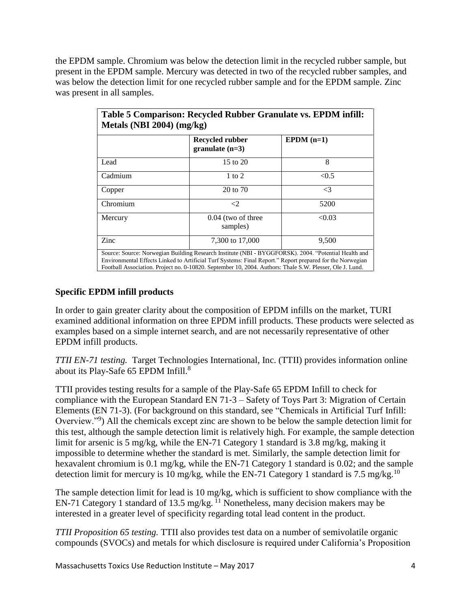the EPDM sample. Chromium was below the detection limit in the recycled rubber sample, but present in the EPDM sample. Mercury was detected in two of the recycled rubber samples, and was below the detection limit for one recycled rubber sample and for the EPDM sample. Zinc was present in all samples.

|          | Recycled rubber<br>granulate $(n=3)$ | $E PDM (n=1)$ |
|----------|--------------------------------------|---------------|
| Lead     | 15 to 20                             | 8             |
| Cadmium  | $1 \text{ to } 2$                    | < 0.5         |
| Copper   | 20 to 70                             | $\leq$ 3      |
| Chromium | $\leq$ 2                             | 5200          |
| Mercury  | $0.04$ (two of three<br>samples)     | < 0.03        |
| Zinc     | 7,300 to 17,000                      | 9,500         |

# **Specific EPDM infill products**

In order to gain greater clarity about the composition of EPDM infills on the market, TURI examined additional information on three EPDM infill products. These products were selected as examples based on a simple internet search, and are not necessarily representative of other EPDM infill products.

*TTII EN-71 testing.* Target Technologies International, Inc. (TTII) provides information online about its Play-Safe 65 EPDM Infill.<sup>8</sup>

TTII provides testing results for a sample of the Play-Safe 65 EPDM Infill to check for compliance with the European Standard EN 71‐3 – Safety of Toys Part 3: Migration of Certain Elements (EN 71-3). (For background on this standard, see "Chemicals in Artificial Turf Infill: Overview."<sup>9</sup>) All the chemicals except zinc are shown to be below the sample detection limit for this test, although the sample detection limit is relatively high. For example, the sample detection limit for arsenic is 5 mg/kg, while the EN-71 Category 1 standard is 3.8 mg/kg, making it impossible to determine whether the standard is met. Similarly, the sample detection limit for hexavalent chromium is 0.1 mg/kg, while the EN-71 Category 1 standard is 0.02; and the sample detection limit for mercury is 10 mg/kg, while the EN-71 Category 1 standard is 7.5 mg/kg.<sup>10</sup>

The sample detection limit for lead is 10 mg/kg, which is sufficient to show compliance with the EN-71 Category 1 standard of 13.5 mg/kg.  $^{11}$  Nonetheless, many decision makers may be interested in a greater level of specificity regarding total lead content in the product.

*TTII Proposition 65 testing.* TTII also provides test data on a number of semivolatile organic compounds (SVOCs) and metals for which disclosure is required under California's Proposition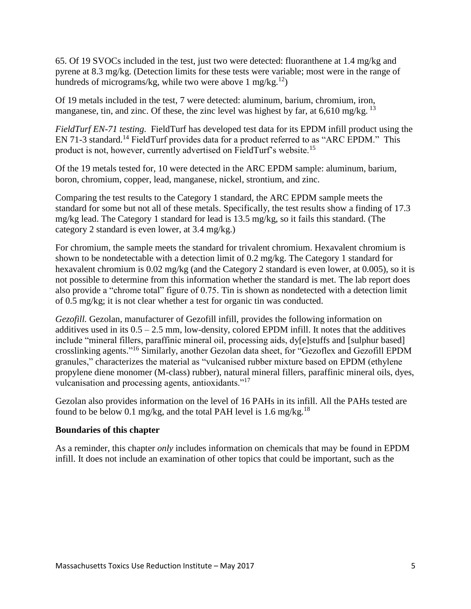65. Of 19 SVOCs included in the test, just two were detected: fluoranthene at 1.4 mg/kg and pyrene at 8.3 mg/kg. (Detection limits for these tests were variable; most were in the range of hundreds of micrograms/kg, while two were above 1 mg/kg.<sup>12</sup>)

Of 19 metals included in the test, 7 were detected: aluminum, barium, chromium, iron, manganese, tin, and zinc. Of these, the zinc level was highest by far, at  $6.610$  mg/kg. <sup>13</sup>

*FieldTurf EN-71 testing.* FieldTurf has developed test data for its EPDM infill product using the EN 71-3 standard.<sup>14</sup> FieldTurf provides data for a product referred to as "ARC EPDM." This product is not, however, currently advertised on FieldTurf's website.<sup>15</sup>

Of the 19 metals tested for, 10 were detected in the ARC EPDM sample: aluminum, barium, boron, chromium, copper, lead, manganese, nickel, strontium, and zinc.

Comparing the test results to the Category 1 standard, the ARC EPDM sample meets the standard for some but not all of these metals. Specifically, the test results show a finding of 17.3 mg/kg lead. The Category 1 standard for lead is 13.5 mg/kg, so it fails this standard. (The category 2 standard is even lower, at 3.4 mg/kg.)

For chromium, the sample meets the standard for trivalent chromium. Hexavalent chromium is shown to be nondetectable with a detection limit of 0.2 mg/kg. The Category 1 standard for hexavalent chromium is 0.02 mg/kg (and the Category 2 standard is even lower, at 0.005), so it is not possible to determine from this information whether the standard is met. The lab report does also provide a "chrome total" figure of 0.75. Tin is shown as nondetected with a detection limit of 0.5 mg/kg; it is not clear whether a test for organic tin was conducted.

*Gezofill.* Gezolan, manufacturer of Gezofill infill, provides the following information on additives used in its  $0.5 - 2.5$  mm, low-density, colored EPDM infill. It notes that the additives include "mineral fillers, paraffinic mineral oil, processing aids, dy[e]stuffs and [sulphur based] crosslinking agents." <sup>16</sup> Similarly, another Gezolan data sheet, for "Gezoflex and Gezofill EPDM granules," characterizes the material as "vulcanised rubber mixture based on EPDM (ethylene propylene diene monomer (M-class) rubber), natural mineral fillers, paraffinic mineral oils, dyes, vulcanisation and processing agents, antioxidants."<sup>17</sup>

Gezolan also provides information on the level of 16 PAHs in its infill. All the PAHs tested are found to be below 0.1 mg/kg, and the total PAH level is 1.6 mg/kg.<sup>18</sup>

#### **Boundaries of this chapter**

As a reminder, this chapter *only* includes information on chemicals that may be found in EPDM infill. It does not include an examination of other topics that could be important, such as the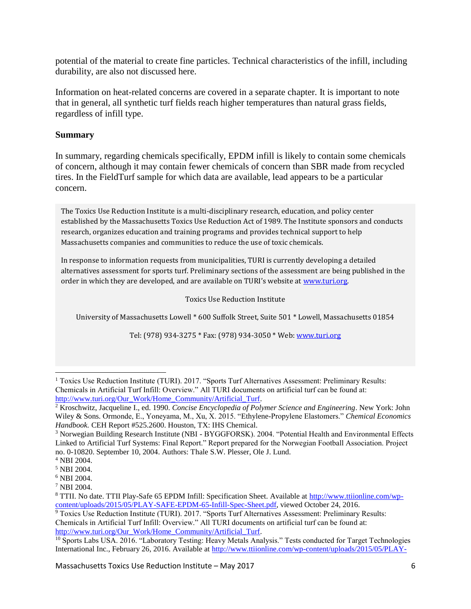potential of the material to create fine particles. Technical characteristics of the infill, including durability, are also not discussed here.

Information on heat-related concerns are covered in a separate chapter. It is important to note that in general, all synthetic turf fields reach higher temperatures than natural grass fields, regardless of infill type.

#### **Summary**

In summary, regarding chemicals specifically, EPDM infill is likely to contain some chemicals of concern, although it may contain fewer chemicals of concern than SBR made from recycled tires. In the FieldTurf sample for which data are available, lead appears to be a particular concern.

The Toxics Use Reduction Institute is a multi-disciplinary research, education, and policy center established by the Massachusetts Toxics Use Reduction Act of 1989. The Institute sponsors and conducts research, organizes education and training programs and provides technical support to help Massachusetts companies and communities to reduce the use of toxic chemicals.

In response to information requests from municipalities, TURI is currently developing a detailed alternatives assessment for sports turf. Preliminary sections of the assessment are being published in the order in which they are developed, and are available on TURI's website at www.turi.org.

Toxics Use Reduction Institute

University of Massachusetts Lowell \* 600 Suffolk Street, Suite 501 \* Lowell, Massachusetts 01854

Tel: (978) 934-3275 \* Fax: (978) 934-3050 \* Web: [www.turi.org](http://www.turi.org/)

<sup>1</sup> Toxics Use Reduction Institute (TURI). 2017. "Sports Turf Alternatives Assessment: Preliminary Results: Chemicals in Artificial Turf Infill: Overview." All TURI documents on artificial turf can be found at: [http://www.turi.org/Our\\_Work/Home\\_Community/Artificial\\_Turf.](http://www.turi.org/Our_Work/Home_Community/Artificial_Turf)  $\overline{\phantom{a}}$ 

<sup>2</sup> Kroschwitz, Jacqueline I., ed. 1990. *Concise Encyclopedia of Polymer Science and Engineering*. New York: John Wiley & Sons. Ormonde, E., Yoneyama, M., Xu, X. 2015. "Ethylene-Propylene Elastomers." *Chemical Economics Handbook.* CEH Report #525.2600. Houston, TX: IHS Chemical.

<sup>3</sup> Norwegian Building Research Institute (NBI - BYGGFORSK). 2004. "Potential Health and Environmental Effects Linked to Artificial Turf Systems: Final Report." Report prepared for the Norwegian Football Association. Project no. 0-10820. September 10, 2004. Authors: Thale S.W. Plesser, Ole J. Lund.

<sup>4</sup> NBI 2004.

<sup>5</sup> NBI 2004.

<sup>6</sup> NBI 2004.

<sup>7</sup> NBI 2004.

<sup>8</sup> TTII. No date. TTII Play-Safe 65 EPDM Infill: Specification Sheet. Available at [http://www.ttiionline.com/wp](http://www.ttiionline.com/wp-content/uploads/2015/05/PLAY-SAFE-EPDM-65-Infill-Spec-Sheet.pdf)[content/uploads/2015/05/PLAY-SAFE-EPDM-65-Infill-Spec-Sheet.pdf,](http://www.ttiionline.com/wp-content/uploads/2015/05/PLAY-SAFE-EPDM-65-Infill-Spec-Sheet.pdf) viewed October 24, 2016.

<sup>9</sup> Toxics Use Reduction Institute (TURI). 2017. "Sports Turf Alternatives Assessment: Preliminary Results: Chemicals in Artificial Turf Infill: Overview." All TURI documents on artificial turf can be found at: [http://www.turi.org/Our\\_Work/Home\\_Community/Artificial\\_Turf.](http://www.turi.org/Our_Work/Home_Community/Artificial_Turf)

<sup>10</sup> Sports Labs USA. 2016. "Laboratory Testing: Heavy Metals Analysis." Tests conducted for Target Technologies International Inc., February 26, 2016. Available at [http://www.ttiionline.com/wp-content/uploads/2015/05/PLAY-](http://www.ttiionline.com/wp-content/uploads/2015/05/PLAY-SAFE-65-EPDM-EN71-3-Safety-of-Toys.pdf)